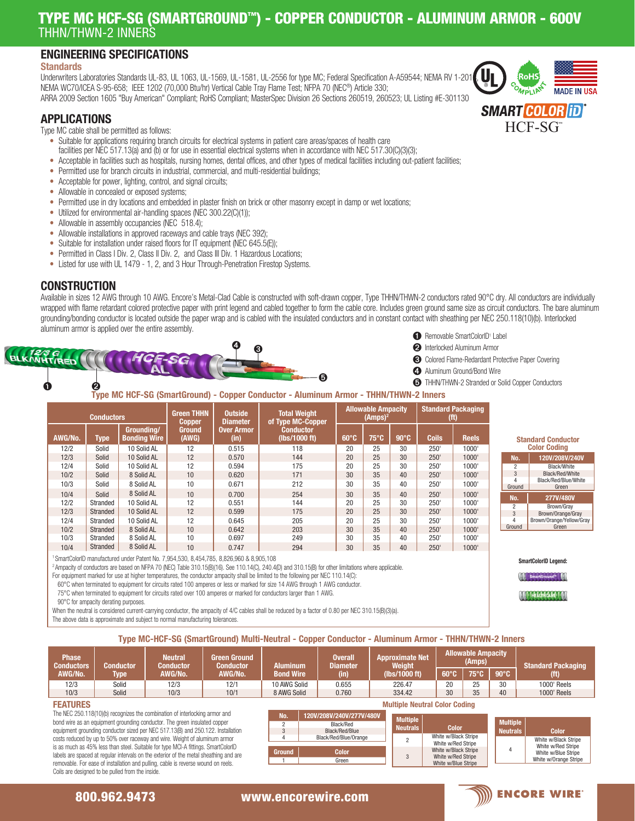## TYPE MC HCF-SG (SMARTGROUND™) - COPPER CONDUCTOR - ALUMINUM ARMOR - 600V THHN/THWN-2 INNERS

### ENGINEERING SPECIFICATIONS

#### **Standards**

Underwriters Laboratories Standards UL-83, UL 1063, UL-1569, UL-1581, UL-2556 for type MC; Federal Specification A-A59544; NEMA RV 1-201 NEMA WC70/ICEA S-95-658; IEEE 1202 (70,000 Btu/hr) Vertical Cable Tray Flame Test; NFPA 70 (NEC®) Article 330; ARRA 2009 Section 1605 "Buy American" Compliant; RoHS Compliant; MasterSpec Division 26 Sections 260519, 260523; UL Listing #E-301130

### APPLICATIONS

Type MC cable shall be permitted as follows:

- Suitable for applications requiring branch circuits for electrical systems in patient care areas/spaces of health care facilities per NEC 517.13(a) and (b) or for use in essential electrical systems when in accordance with NEC 517.30(C)(3)(3);
- Acceptable in facilities such as hospitals, nursing homes, dental offices, and other types of medical facilities including out-patient facilities;
- Permitted use for branch circuits in industrial, commercial, and multi-residential buildings;
- Acceptable for power, lighting, control, and signal circuits;
- Allowable in concealed or exposed systems;
- Permitted use in dry locations and embedded in plaster finish on brick or other masonry except in damp or wet locations;
- Utilized for environmental air-handling spaces (NEC 300.22(C)(1));
- Allowable in assembly occupancies (NEC 518.4);
- Allowable installations in approved raceways and cable trays (NEC 392);
- Suitable for installation under raised floors for IT equipment (NEC 645.5(E));
- Permitted in Class I Div. 2, Class II Div. 2, and Class III Div. 1 Hazardous Locations;
- Listed for use with UL 1479 1, 2, and 3 Hour Through-Penetration Firestop Systems.

### **CONSTRUCTION**

Available in sizes 12 AWG through 10 AWG. Encore's Metal-Clad Cable is constructed with soft-drawn copper, Type THHN/THWN-2 conductors rated 90°C dry. All conductors are individually wrapped with flame retardant colored protective paper with print legend and cabled together to form the cable core. Includes green ground same size as circuit conductors. The bare aluminum grounding/bonding conductor is located outside the paper wrap and is cabled with the insulated conductors and in constant contact with sheathing per NEC 250.118(10)(b). Interlocked aluminum armor is applied over the entire assembly.



Type MC HCF-SG (SmartGround) - Copper Conductor - Aluminum Armor - THHN/THWN-2 Inners

| <b>Conductors</b> |             |                                   | <b>Green THHN</b><br><b>Copper</b> | <b>Outside</b><br><b>Diameter</b> | <b>Total Weight</b><br>of Type MC-Copper | <b>Allowable Ampacity</b><br>$(Amps)^2$ |                |                | <b>Standard Packaging</b><br>(ft) |              |
|-------------------|-------------|-----------------------------------|------------------------------------|-----------------------------------|------------------------------------------|-----------------------------------------|----------------|----------------|-----------------------------------|--------------|
| AWG/No.           | <b>Type</b> | Groundina/<br><b>Bonding Wire</b> | 'Ground.<br>(AWG)                  | <b>Over Armor</b><br>(in)         | <b>Conductor</b><br>(lbs/1000 ft)        | $60^{\circ}$ C                          | $75^{\circ}$ C | $90^{\circ}$ C | <b>Coils</b>                      | <b>Reels</b> |
| 12/2              | Solid       | 10 Solid AL                       | 12                                 | 0.515                             | 118                                      | 20                                      | 25             | 30             | 250'                              | 1000'        |
| 12/3              | Solid       | 10 Solid AL                       | 12                                 | 0.570                             | 144                                      | 20                                      | 25             | 30             | 250'                              | 1000'        |
| 12/4              | Solid       | 10 Solid AL                       | 12                                 | 0.594                             | 175                                      | 20                                      | 25             | 30             | 250'                              | 1000'        |
| 10/2              | Solid       | 8 Solid AL                        | 10                                 | 0.620                             | 171                                      | 30                                      | 35             | 40             | 250'                              | 1000'        |
| 10/3              | Solid       | 8 Solid AL                        | 10                                 | 0.671                             | 212                                      | 30                                      | 35             | 40             | 250'                              | 1000'        |
| 10/4              | Solid       | 8 Solid AL                        | 10                                 | 0.700                             | 254                                      | 30                                      | 35             | 40             | 250'                              | 1000'        |
| 12/2              | Stranded    | 10 Solid AL                       | 12                                 | 0.551                             | 144                                      | 20                                      | 25             | 30             | 250'                              | 1000'        |
| 12/3              | Stranded    | 10 Solid AL                       | 12                                 | 0.599                             | 175                                      | 20                                      | 25             | 30             | 250'                              | 1000'        |
| 12/4              | Stranded    | 10 Solid AL                       | 12                                 | 0.645                             | 205                                      | 20                                      | 25             | 30             | 250'                              | 1000'        |
| 10/2              | Stranded    | 8 Solid AL                        | 10                                 | 0.642                             | 203                                      | 30                                      | 35             | 40             | 250'                              | 1000'        |
| 10/3              | Stranded    | 8 Solid AL                        | 10                                 | 0.697                             | 249                                      | 30                                      | 35             | 40             | 250'                              | 1000'        |
| 10/4              | Stranded    | 8 Solid AL                        | 10                                 | 0.747                             | 294                                      | 30                                      | 35             | 40             | 250'                              | 1000'        |

1 SmartColorID manufactured under Patent No. 7,954,530, 8,454,785, 8,826,960 & 8,905,108

2 Ampacity of conductors are based on NFPA 70 (NEC) Table 310.15(B)(16). See 110.14(C), 240.4(D) and 310.15(B) for other limitations where applicable.

For equipment marked for use at higher temperatures, the conductor ampacity shall be limited to the following per NEC 110.14(C):

60°C when terminated to equipment for circuits rated 100 amperes or less or marked for size 14 AWG through 1 AWG conductor.

75°C when terminated to equipment for circuits rated over 100 amperes or marked for conductors larger than 1 AWG.

90°C for ampacity derating purposes.

When the neutral is considered current-carrying conductor, the ampacity of 4/C cables shall be reduced by a factor of 0.80 per NEC 310.15(B)(3)(a).

The above data is approximate and subject to normal manufacturing tolerances.

Type MC-HCF-SG (SmartGround) Multi-Neutral - Copper Conductor - Aluminum Armor - THHN/THWN-2 Inners

| <b>Phase</b><br><b>Conductors</b> | <b>Conductor</b> | <b>Neutral</b><br><b>Conductor</b> | Green Ground<br><b>Conductor</b> | Aluminum         | <b>Overall</b><br><b>Diameter</b> | <b>Allowable Ampacity</b><br><b>Approximate Net</b><br>(Amps)<br>Weight |              |              |                     | <b>Standard Packaging</b> |
|-----------------------------------|------------------|------------------------------------|----------------------------------|------------------|-----------------------------------|-------------------------------------------------------------------------|--------------|--------------|---------------------|---------------------------|
| AWG/No.                           | Type             | AWG/No.                            | AWG/No.                          | <b>Bond Wire</b> | (in)                              | (lbs/1000 ft)                                                           | $60^\circ$ C | $75^\circ$ C | $\blacksquare$ 90°C | (ft)                      |
| 12/3                              | Solid            | 12/3                               | 12/1                             | 10 AWG Solid     | 0.655                             | 226.47                                                                  | 20           | <b>OE</b>    | 30                  | 1000' Reels               |
| 10/3                              | Solid            | 10/3                               | 10/1                             | 8 AWG Solid      | 0.760                             | 334.42                                                                  | 30           | 35           | 40                  | 1000' Reels               |

#### FEATURES

The NEC 250.118(10)(b) recognizes the combination of interlocking armor and bond wire as an equipment grounding conductor. The green insulated copper equipment grounding conductor sized per NEC 517.13(B) and 250.122. Installation costs reduced by up to 50% over raceway and wire. Weight of aluminum armor is as much as 45% less than steel. Suitable for type MCI-A fittings. SmartColorID labels are spaced at regular intervals on the exterior of the metal sheathing and are removable. For ease of installation and pulling, cable is reverse wound on reels. Coils are designed to be pulled from the inside.



| Color                                                                             | <b>Multiple</b><br><b>Neutrals</b> | Color                                                                                      |  |  |  |  |
|-----------------------------------------------------------------------------------|------------------------------------|--------------------------------------------------------------------------------------------|--|--|--|--|
| w/Black Stripe<br>w/Red Stripe<br>w/Black Stripe<br>w/Red Stripe<br>w/Blue Stripe |                                    | White w/Black Stripe<br>White w/Red Stripe<br>White w/Blue Stripe<br>White w/Orange Stripe |  |  |  |  |
|                                                                                   |                                    |                                                                                            |  |  |  |  |

White

White White White



|  | <b>1</b> Removable SmartColorID <sup>1</sup> Label |  |
|--|----------------------------------------------------|--|
|  |                                                    |  |

➋ Interlocked Aluminum Armor

- ➌ Colored Flame-Redardant Protective Paper Covering
- ➍ Aluminum Ground/Bond Wire
- ➎ THHN/THWN-2 Stranded or Solid Copper Conductors

120V/208V/240V 2 Black/White 3 Black/Red/White<br>4 Black/Red/Blue/Wh 4 Black/Red/Blue/White<br>Ground Green Green

Standard Conductor Color Coding

SmartColorID Legend:

**SmartGround<sup>w</sup>** HEALTHCARE T

No. 277V/480V 2 Brown/Gray Brown/Orange/Gray 4 Brown/Orange/Yellow/Gray

Ground

800.962.9473 www.encorewire.com www.encorewire.com 800.962.9473 www.encorewire.com